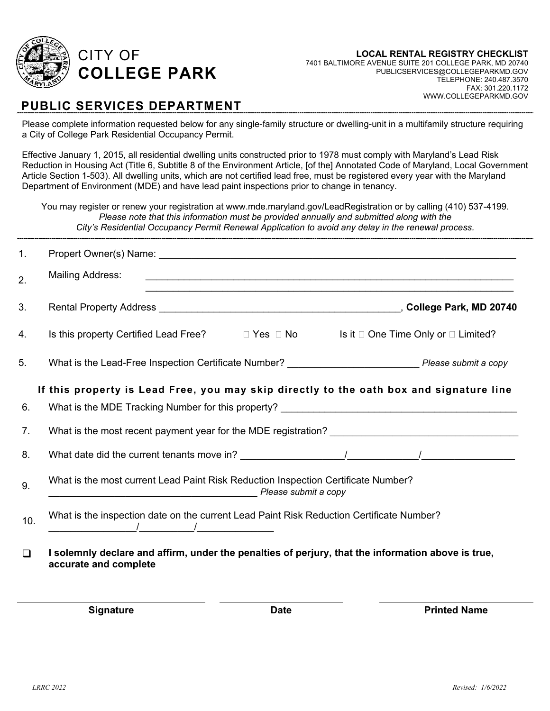

FAX: 301.220.1172

WWW.COLLEGEPARKMD.GOV

#### **PUBLIC SERVICES DEPARTMENT**

Please complete information requested below for any single-family structure or dwelling-unit in a multifamily structure requiring a City of College Park Residential Occupancy Permit.

Effective January 1, 2015, all residential dwelling units constructed prior to 1978 must comply with Maryland's Lead Risk Reduction in Housing Act (Title 6, Subtitle 8 of the Environment Article, [of the] Annotated Code of Maryland, Local Government Article Section 1-503). All dwelling units, which are not certified lead free, must be registered every year with the Maryland Department of Environment (MDE) and have lead paint inspections prior to change in tenancy.

You may register or renew your registration at www.mde.maryland.gov/LeadRegistration or by calling (410) 537-4199. *Please note that this information must be provided annually and submitted along with the City's Residential Occupancy Permit Renewal Application to avoid any delay in the renewal process.*

| $\mathbf{1}$ . |                                                                                                                                                                                                                                                                                          |
|----------------|------------------------------------------------------------------------------------------------------------------------------------------------------------------------------------------------------------------------------------------------------------------------------------------|
| 2.             | <b>Mailing Address:</b><br><u> 1989 - Johann Stoff, amerikansk politiker (d. 1989)</u>                                                                                                                                                                                                   |
| 3.             | Rental Property Address National Communication of the College Park, MD 20740                                                                                                                                                                                                             |
| 4.             | Is this property Certified Lead Free?<br>□ Yes □ No Is it □ One Time Only or □ Limited?                                                                                                                                                                                                  |
| 5.             |                                                                                                                                                                                                                                                                                          |
|                | If this property is Lead Free, you may skip directly to the oath box and signature line                                                                                                                                                                                                  |
| 6.             |                                                                                                                                                                                                                                                                                          |
| 7.             |                                                                                                                                                                                                                                                                                          |
| 8.             | What date did the current tenants move in? $\sqrt{2\pi}$ / $\sqrt{2\pi}$ / $\sqrt{2\pi}$ / $\sqrt{2\pi}$ / $\sqrt{2\pi}$ / $\sqrt{2\pi}$ / $\sqrt{2\pi}$ / $\sqrt{2\pi}$ / $\sqrt{2\pi}$ / $\sqrt{2\pi}$ / $\sqrt{2\pi}$ / $\sqrt{2\pi}$ / $\sqrt{2\pi}$ / $\sqrt{2\pi}$ / $\sqrt{2\pi}$ |
| 9.             | What is the most current Lead Paint Risk Reduction Inspection Certificate Number?<br><b>Превеский принципии в представительно представить в представительно представить в температивно представить не</b>                                                                                |
| 10.            | What is the inspection date on the current Lead Paint Risk Reduction Certificate Number?                                                                                                                                                                                                 |
| $\Box$         | I solemnly declare and affirm, under the penalties of perjury, that the information above is true,<br>accurate and complete                                                                                                                                                              |

**Signature Date Date Date Printed Name**